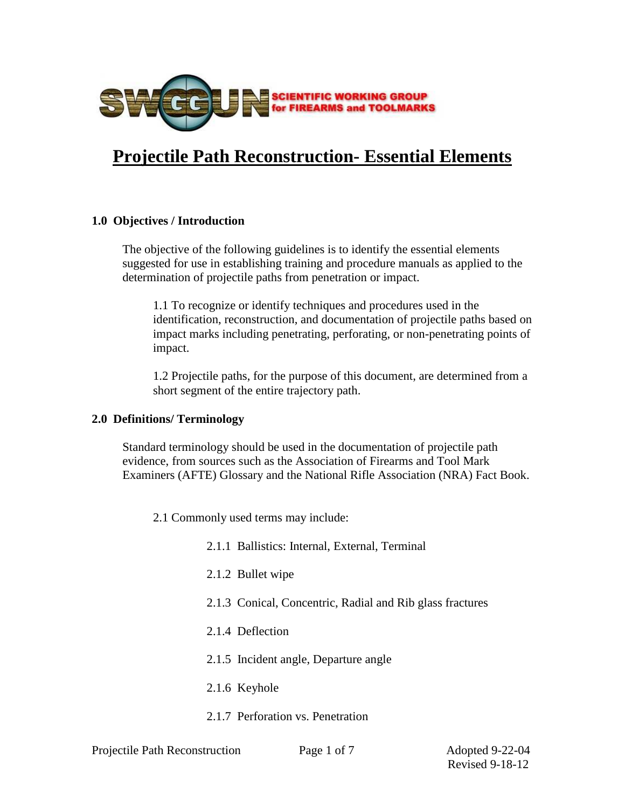

# **[Projectile Path Reconstruction- Essential Elements](http://www.swggun.org/swg/index.php?option=com_content&view=article&id=34:projectile-path-reconstruction-essential-elements&catid=10:guidelines-adopted&Itemid=37)**

# **1.0 Objectives / Introduction**

The objective of the following guidelines is to identify the essential elements suggested for use in establishing training and procedure manuals as applied to the determination of projectile paths from penetration or impact.

1.1 To recognize or identify techniques and procedures used in the identification, reconstruction, and documentation of projectile paths based on impact marks including penetrating, perforating, or non-penetrating points of impact.

1.2 Projectile paths, for the purpose of this document, are determined from a short segment of the entire trajectory path.

### **2.0 Definitions/ Terminology**

Standard terminology should be used in the documentation of projectile path evidence, from sources such as the Association of Firearms and Tool Mark Examiners (AFTE) Glossary and the National Rifle Association (NRA) Fact Book.

2.1 Commonly used terms may include:

- 2.1.1 Ballistics: Internal, External, Terminal
- 2.1.2 Bullet wipe
- 2.1.3 Conical, Concentric, Radial and Rib glass fractures
- 2.1.4 Deflection
- 2.1.5 Incident angle, Departure angle
- 2.1.6 Keyhole
- 2.1.7 Perforation vs. Penetration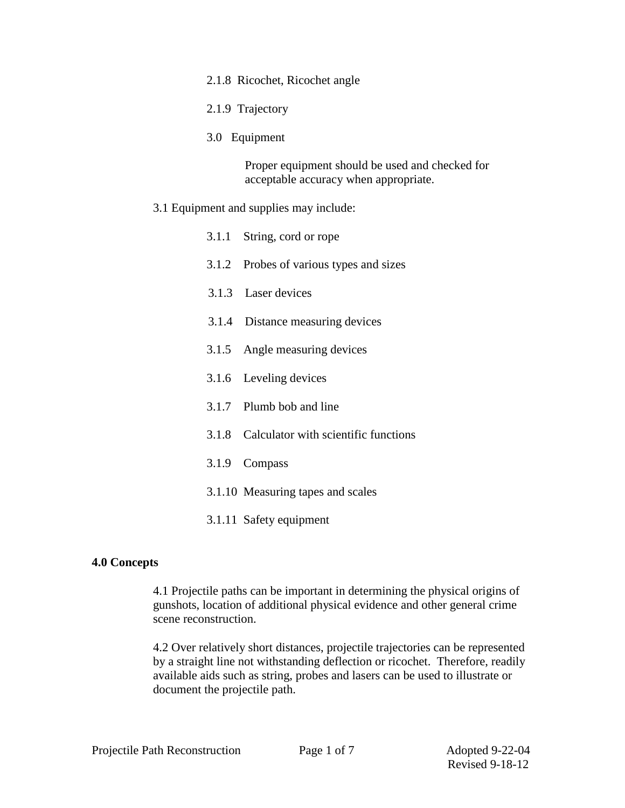#### 2.1.8 Ricochet, Ricochet angle

- 2.1.9 Trajectory
- 3.0 Equipment

Proper equipment should be used and checked for acceptable accuracy when appropriate.

# 3.1 Equipment and supplies may include:

| 3.1.1 String, cord or rope                 |  |  |
|--------------------------------------------|--|--|
| 3.1.2 Probes of various types and sizes    |  |  |
| 3.1.3 Laser devices                        |  |  |
| 3.1.4 Distance measuring devices           |  |  |
| 3.1.5 Angle measuring devices              |  |  |
| 3.1.6 Leveling devices                     |  |  |
| 3.1.7 Plumb bob and line                   |  |  |
| 3.1.8 Calculator with scientific functions |  |  |
| 3.1.9 Compass                              |  |  |
| 3.1.10 Measuring tapes and scales          |  |  |
| 3.1.11 Safety equipment                    |  |  |

# **4.0 Concepts**

4.1 Projectile paths can be important in determining the physical origins of gunshots, location of additional physical evidence and other general crime scene reconstruction.

4.2 Over relatively short distances, projectile trajectories can be represented by a straight line not withstanding deflection or ricochet. Therefore, readily available aids such as string, probes and lasers can be used to illustrate or document the projectile path.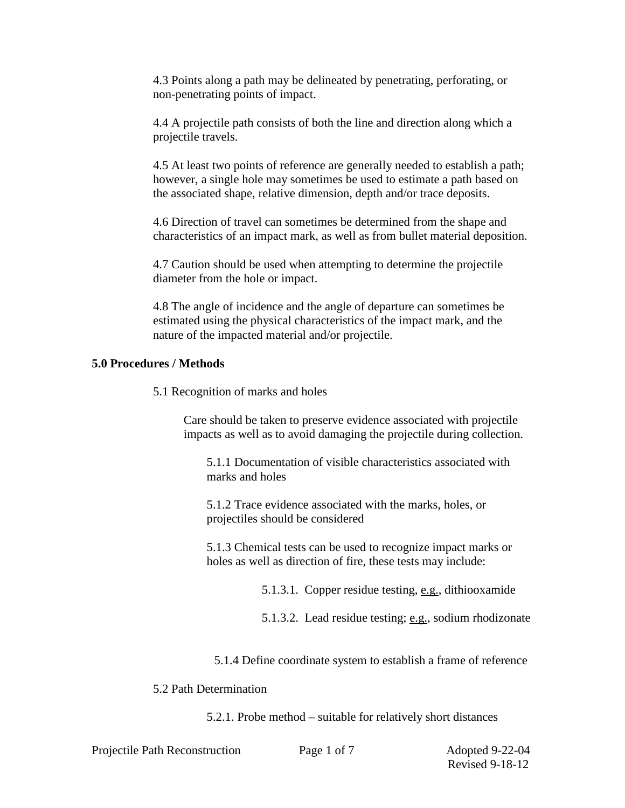4.3 Points along a path may be delineated by penetrating, perforating, or non-penetrating points of impact.

4.4 A projectile path consists of both the line and direction along which a projectile travels.

4.5 At least two points of reference are generally needed to establish a path; however, a single hole may sometimes be used to estimate a path based on the associated shape, relative dimension, depth and/or trace deposits.

4.6 Direction of travel can sometimes be determined from the shape and characteristics of an impact mark, as well as from bullet material deposition.

4.7 Caution should be used when attempting to determine the projectile diameter from the hole or impact.

4.8 The angle of incidence and the angle of departure can sometimes be estimated using the physical characteristics of the impact mark, and the nature of the impacted material and/or projectile.

# **5.0 Procedures / Methods**

5.1 Recognition of marks and holes

Care should be taken to preserve evidence associated with projectile impacts as well as to avoid damaging the projectile during collection.

5.1.1 Documentation of visible characteristics associated with marks and holes

5.1.2 Trace evidence associated with the marks, holes, or projectiles should be considered

5.1.3 Chemical tests can be used to recognize impact marks or holes as well as direction of fire, these tests may include:

5.1.3.1. Copper residue testing, e.g., dithiooxamide

5.1.3.2. Lead residue testing; e.g., sodium rhodizonate

5.1.4 Define coordinate system to establish a frame of reference

# 5.2 Path Determination

5.2.1. Probe method – suitable for relatively short distances

Projectile Path Reconstruction Page 1 of 7 Adopted 9-22-04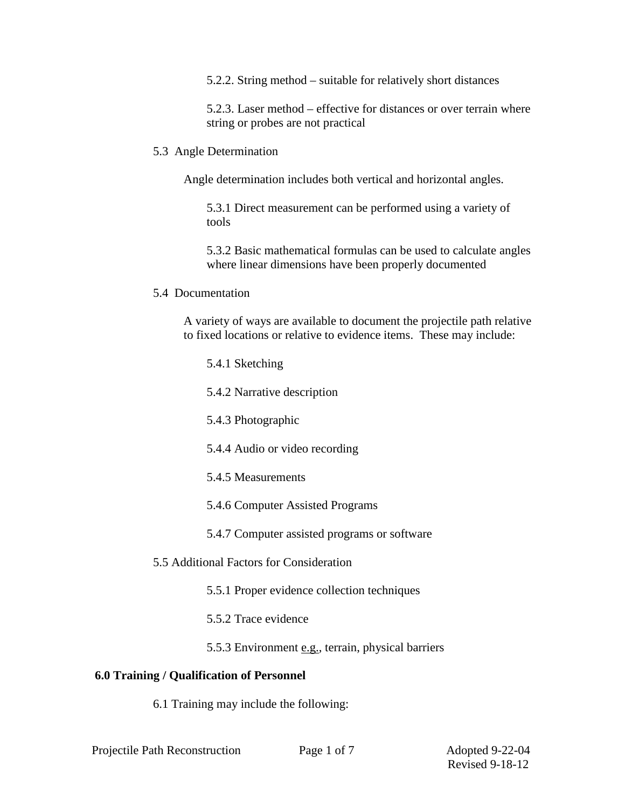5.2.2. String method – suitable for relatively short distances

5.2.3. Laser method – effective for distances or over terrain where string or probes are not practical

5.3 Angle Determination

Angle determination includes both vertical and horizontal angles.

5.3.1 Direct measurement can be performed using a variety of tools

5.3.2 Basic mathematical formulas can be used to calculate angles where linear dimensions have been properly documented

5.4 Documentation

A variety of ways are available to document the projectile path relative to fixed locations or relative to evidence items. These may include:

5.4.1 Sketching

5.4.2 Narrative description

5.4.3 Photographic

5.4.4 Audio or video recording

5.4.5 Measurements

5.4.6 Computer Assisted Programs

5.4.7 Computer assisted programs or software

5.5 Additional Factors for Consideration

5.5.1 Proper evidence collection techniques

5.5.2 Trace evidence

5.5.3 Environment e.g., terrain, physical barriers

# **6.0 Training / Qualification of Personnel**

6.1 Training may include the following: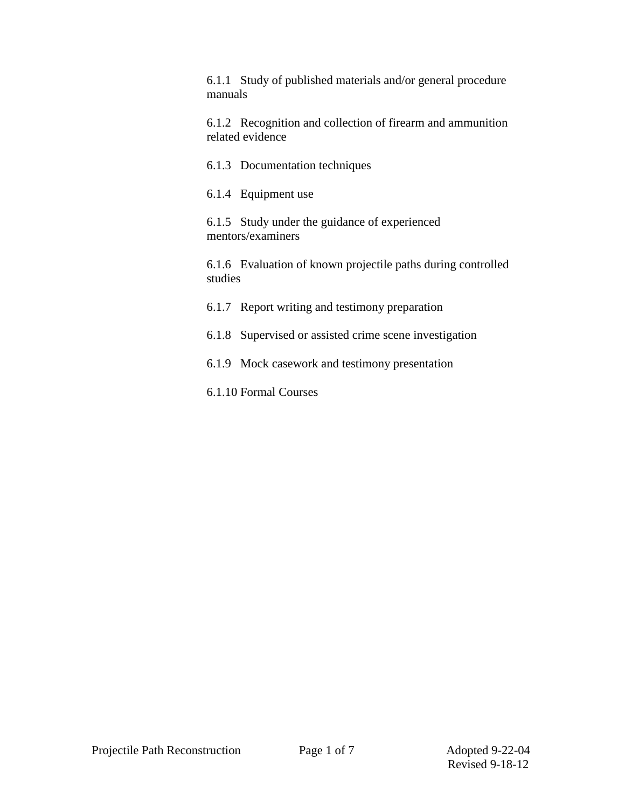6.1.1 Study of published materials and/or general procedure manuals

6.1.2 Recognition and collection of firearm and ammunition related evidence

6.1.3 Documentation techniques

6.1.4 Equipment use

6.1.5 Study under the guidance of experienced mentors/examiners

6.1.6 Evaluation of known projectile paths during controlled studies

6.1.7 Report writing and testimony preparation

6.1.8 Supervised or assisted crime scene investigation

6.1.9 Mock casework and testimony presentation

6.1.10 Formal Courses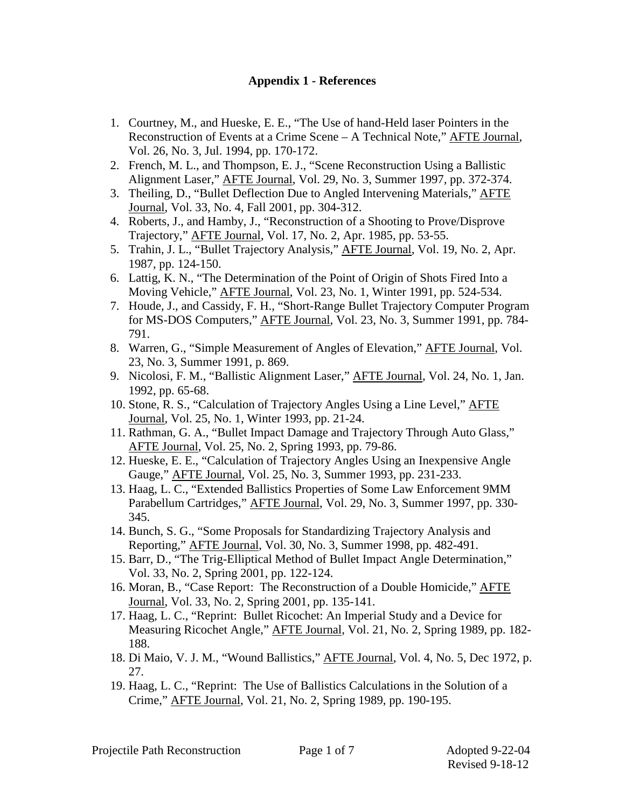# **Appendix 1 - References**

- 1. Courtney, M., and Hueske, E. E., "The Use of hand-Held laser Pointers in the Reconstruction of Events at a Crime Scene – A Technical Note," AFTE Journal, Vol. 26, No. 3, Jul. 1994, pp. 170-172.
- 2. French, M. L., and Thompson, E. J., "Scene Reconstruction Using a Ballistic Alignment Laser," AFTE Journal, Vol. 29, No. 3, Summer 1997, pp. 372-374.
- 3. Theiling, D., "Bullet Deflection Due to Angled Intervening Materials," AFTE Journal, Vol. 33, No. 4, Fall 2001, pp. 304-312.
- 4. Roberts, J., and Hamby, J., "Reconstruction of a Shooting to Prove/Disprove Trajectory," AFTE Journal, Vol. 17, No. 2, Apr. 1985, pp. 53-55.
- 5. Trahin, J. L., "Bullet Trajectory Analysis," AFTE Journal, Vol. 19, No. 2, Apr. 1987, pp. 124-150.
- 6. Lattig, K. N., "The Determination of the Point of Origin of Shots Fired Into a Moving Vehicle," AFTE Journal, Vol. 23, No. 1, Winter 1991, pp. 524-534.
- 7. Houde, J., and Cassidy, F. H., "Short-Range Bullet Trajectory Computer Program for MS-DOS Computers," AFTE Journal, Vol. 23, No. 3, Summer 1991, pp. 784- 791.
- 8. Warren, G., "Simple Measurement of Angles of Elevation," AFTE Journal, Vol. 23, No. 3, Summer 1991, p. 869.
- 9. Nicolosi, F. M., "Ballistic Alignment Laser," AFTE Journal, Vol. 24, No. 1, Jan. 1992, pp. 65-68.
- 10. Stone, R. S., "Calculation of Trajectory Angles Using a Line Level," AFTE Journal, Vol. 25, No. 1, Winter 1993, pp. 21-24.
- 11. Rathman, G. A., "Bullet Impact Damage and Trajectory Through Auto Glass," AFTE Journal, Vol. 25, No. 2, Spring 1993, pp. 79-86.
- 12. Hueske, E. E., "Calculation of Trajectory Angles Using an Inexpensive Angle Gauge," AFTE Journal, Vol. 25, No. 3, Summer 1993, pp. 231-233.
- 13. Haag, L. C., "Extended Ballistics Properties of Some Law Enforcement 9MM Parabellum Cartridges," AFTE Journal, Vol. 29, No. 3, Summer 1997, pp. 330- 345.
- 14. Bunch, S. G., "Some Proposals for Standardizing Trajectory Analysis and Reporting," AFTE Journal, Vol. 30, No. 3, Summer 1998, pp. 482-491.
- 15. Barr, D., "The Trig-Elliptical Method of Bullet Impact Angle Determination," Vol. 33, No. 2, Spring 2001, pp. 122-124.
- 16. Moran, B., "Case Report: The Reconstruction of a Double Homicide," AFTE Journal, Vol. 33, No. 2, Spring 2001, pp. 135-141.
- 17. Haag, L. C., "Reprint: Bullet Ricochet: An Imperial Study and a Device for Measuring Ricochet Angle," **AFTE Journal**, Vol. 21, No. 2, Spring 1989, pp. 182-188.
- 18. Di Maio, V. J. M., "Wound Ballistics," AFTE Journal, Vol. 4, No. 5, Dec 1972, p. 27.
- 19. Haag, L. C., "Reprint: The Use of Ballistics Calculations in the Solution of a Crime," AFTE Journal, Vol. 21, No. 2, Spring 1989, pp. 190-195.